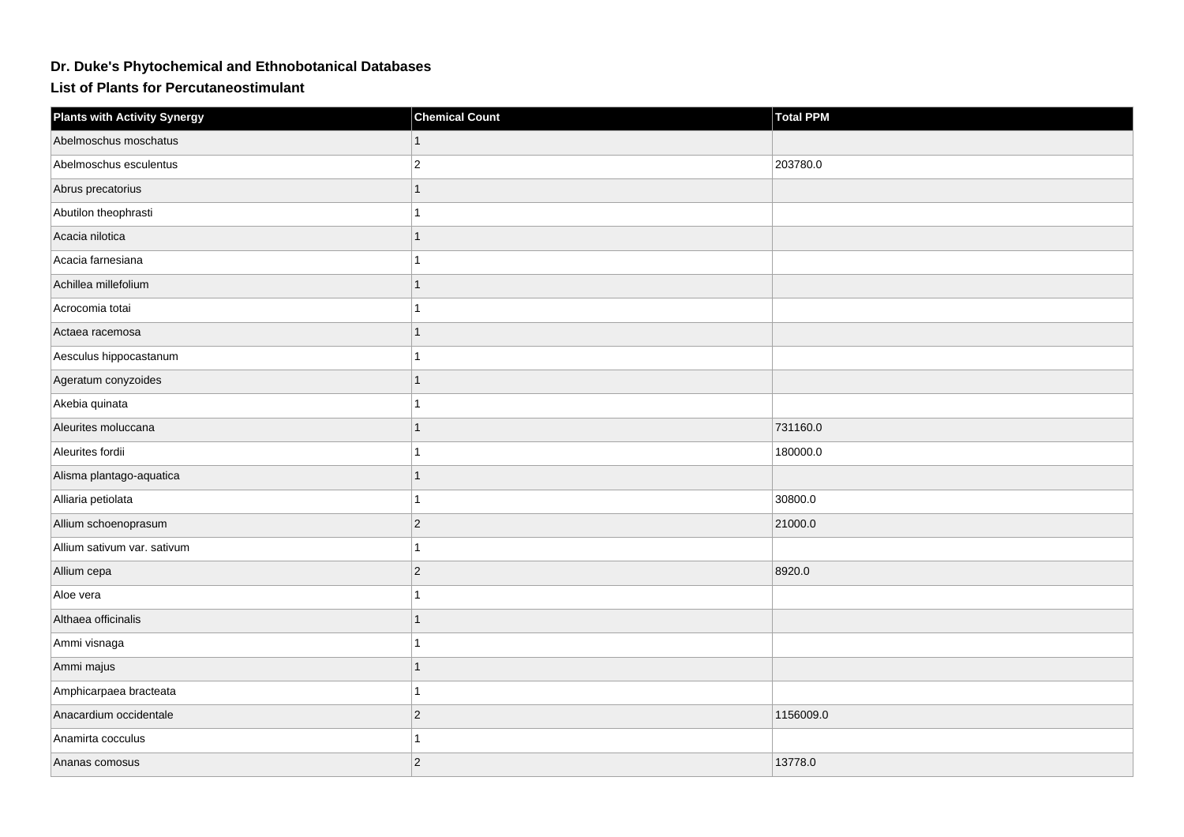## **Dr. Duke's Phytochemical and Ethnobotanical Databases**

**List of Plants for Percutaneostimulant**

| <b>Plants with Activity Synergy</b> | <b>Chemical Count</b> | <b>Total PPM</b> |
|-------------------------------------|-----------------------|------------------|
| Abelmoschus moschatus               | 1                     |                  |
| Abelmoschus esculentus              | $\boldsymbol{2}$      | 203780.0         |
| Abrus precatorius                   | 1                     |                  |
| Abutilon theophrasti                | 1                     |                  |
| Acacia nilotica                     | 1                     |                  |
| Acacia farnesiana                   |                       |                  |
| Achillea millefolium                |                       |                  |
| Acrocomia totai                     |                       |                  |
| Actaea racemosa                     | 1                     |                  |
| Aesculus hippocastanum              | 1                     |                  |
| Ageratum conyzoides                 | 1                     |                  |
| Akebia quinata                      |                       |                  |
| Aleurites moluccana                 |                       | 731160.0         |
| Aleurites fordii                    |                       | 180000.0         |
| Alisma plantago-aquatica            |                       |                  |
| Alliaria petiolata                  | 1                     | 30800.0          |
| Allium schoenoprasum                | $ 2\rangle$           | 21000.0          |
| Allium sativum var. sativum         |                       |                  |
| Allium cepa                         | $ 2\rangle$           | 8920.0           |
| Aloe vera                           |                       |                  |
| Althaea officinalis                 |                       |                  |
| Ammi visnaga                        | 1                     |                  |
| Ammi majus                          | 1                     |                  |
| Amphicarpaea bracteata              |                       |                  |
| Anacardium occidentale              | $ 2\rangle$           | 1156009.0        |
| Anamirta cocculus                   |                       |                  |
| Ananas comosus                      | $ 2\rangle$           | 13778.0          |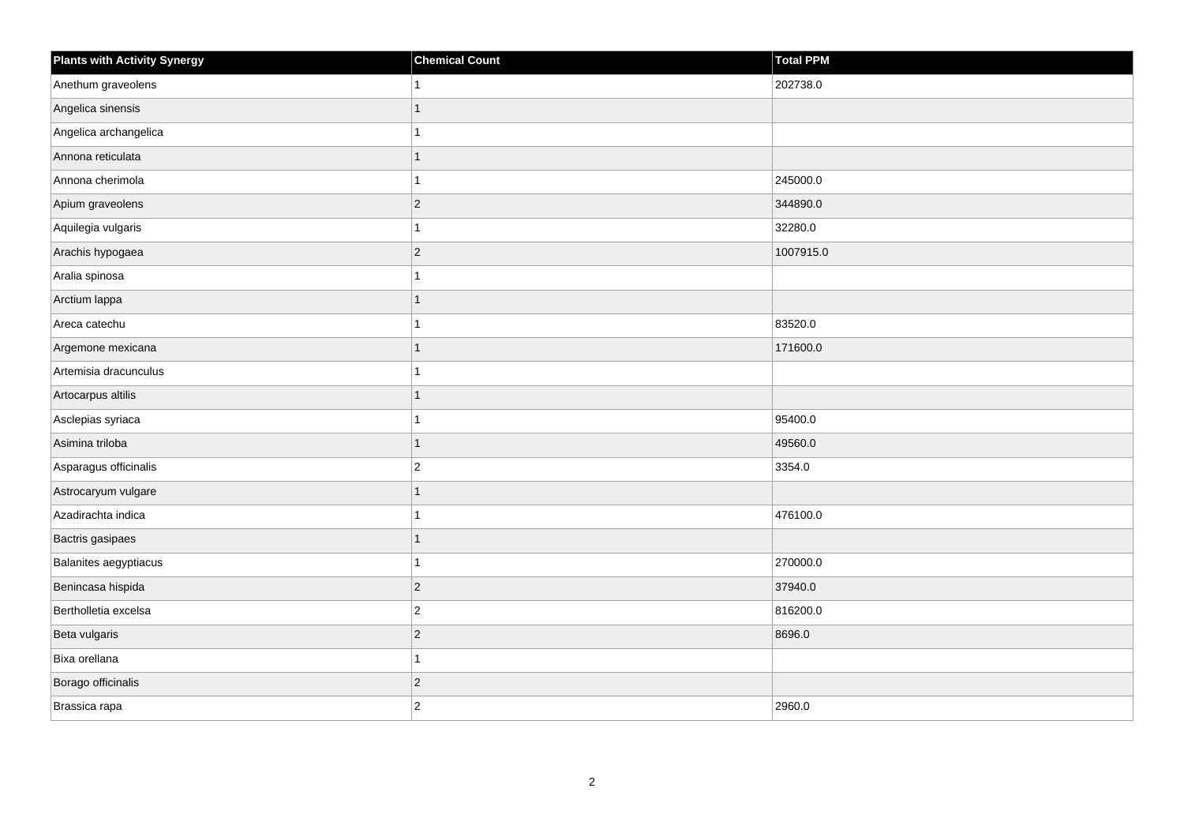| <b>Plants with Activity Synergy</b> | <b>Chemical Count</b> | Total PPM |
|-------------------------------------|-----------------------|-----------|
| Anethum graveolens                  |                       | 202738.0  |
| Angelica sinensis                   |                       |           |
| Angelica archangelica               |                       |           |
| Annona reticulata                   |                       |           |
| Annona cherimola                    |                       | 245000.0  |
| Apium graveolens                    | $\overline{c}$        | 344890.0  |
| Aquilegia vulgaris                  |                       | 32280.0   |
| Arachis hypogaea                    | $\overline{2}$        | 1007915.0 |
| Aralia spinosa                      |                       |           |
| Arctium lappa                       |                       |           |
| Areca catechu                       |                       | 83520.0   |
| Argemone mexicana                   |                       | 171600.0  |
| Artemisia dracunculus               |                       |           |
| Artocarpus altilis                  |                       |           |
| Asclepias syriaca                   |                       | 95400.0   |
| Asimina triloba                     | 1                     | 49560.0   |
| Asparagus officinalis               | $\overline{2}$        | 3354.0    |
| Astrocaryum vulgare                 |                       |           |
| Azadirachta indica                  |                       | 476100.0  |
| Bactris gasipaes                    |                       |           |
| Balanites aegyptiacus               |                       | 270000.0  |
| Benincasa hispida                   | $\overline{2}$        | 37940.0   |
| Bertholletia excelsa                | $\overline{2}$        | 816200.0  |
| Beta vulgaris                       | $\overline{2}$        | 8696.0    |
| Bixa orellana                       |                       |           |
| Borago officinalis                  | $\overline{2}$        |           |
| Brassica rapa                       | $\overline{c}$        | 2960.0    |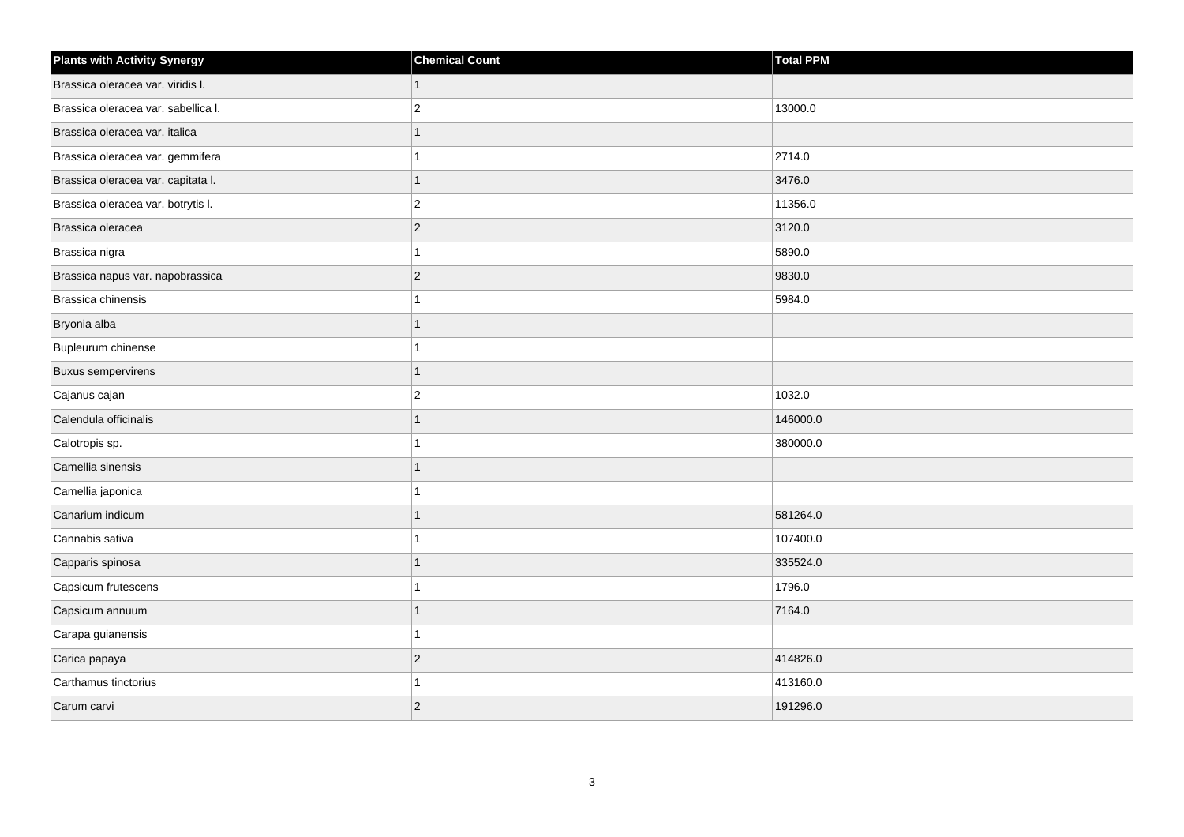| <b>Plants with Activity Synergy</b> | <b>Chemical Count</b> | <b>Total PPM</b> |
|-------------------------------------|-----------------------|------------------|
| Brassica oleracea var. viridis I.   |                       |                  |
| Brassica oleracea var. sabellica I. | $\overline{2}$        | 13000.0          |
| Brassica oleracea var. italica      |                       |                  |
| Brassica oleracea var. gemmifera    |                       | 2714.0           |
| Brassica oleracea var. capitata I.  |                       | 3476.0           |
| Brassica oleracea var. botrytis I.  | $\overline{c}$        | 11356.0          |
| Brassica oleracea                   | $\overline{c}$        | 3120.0           |
| Brassica nigra                      |                       | 5890.0           |
| Brassica napus var. napobrassica    | $\overline{2}$        | 9830.0           |
| Brassica chinensis                  |                       | 5984.0           |
| Bryonia alba                        |                       |                  |
| Bupleurum chinense                  |                       |                  |
| <b>Buxus sempervirens</b>           | 1                     |                  |
| Cajanus cajan                       | 2                     | 1032.0           |
| Calendula officinalis               |                       | 146000.0         |
| Calotropis sp.                      |                       | 380000.0         |
| Camellia sinensis                   |                       |                  |
| Camellia japonica                   |                       |                  |
| Canarium indicum                    |                       | 581264.0         |
| Cannabis sativa                     |                       | 107400.0         |
| Capparis spinosa                    |                       | 335524.0         |
| Capsicum frutescens                 |                       | 1796.0           |
| Capsicum annuum                     |                       | 7164.0           |
| Carapa guianensis                   |                       |                  |
| Carica papaya                       | $\overline{2}$        | 414826.0         |
| Carthamus tinctorius                |                       | 413160.0         |
| Carum carvi                         | $\overline{2}$        | 191296.0         |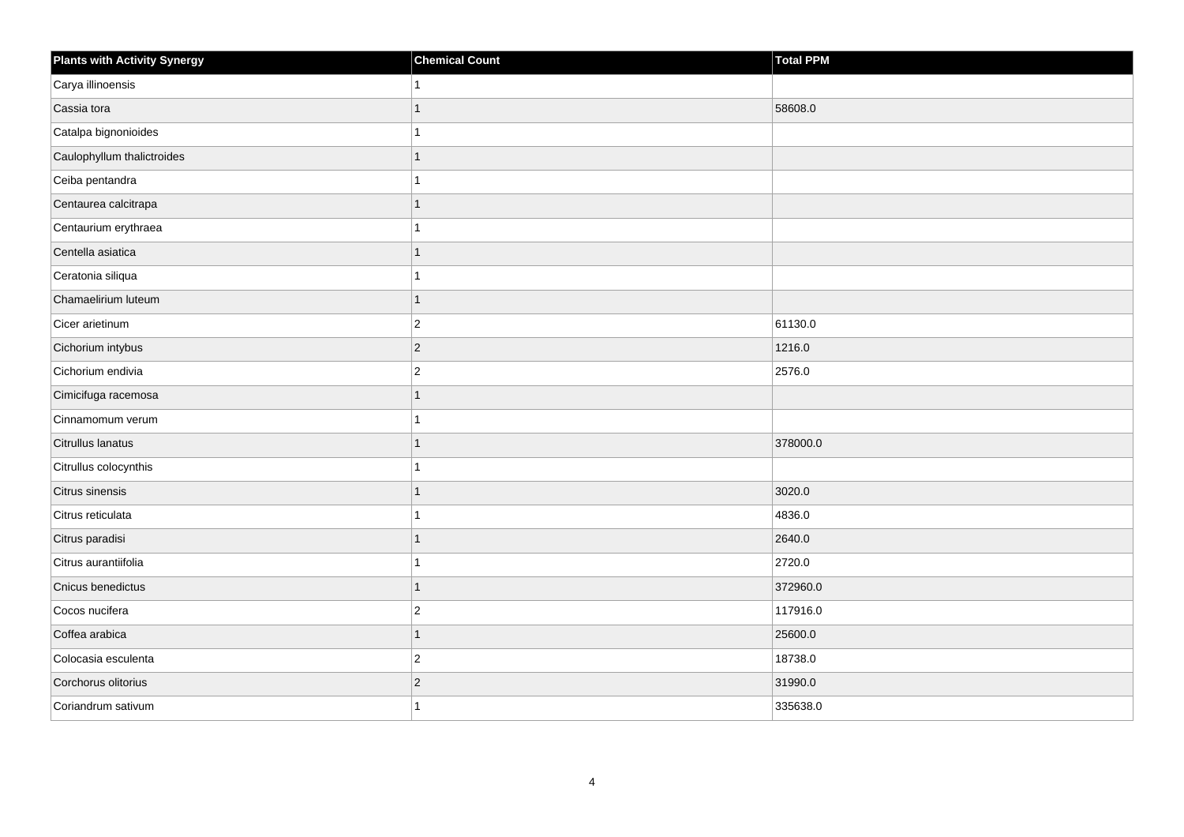| <b>Plants with Activity Synergy</b> | <b>Chemical Count</b> | Total PPM |
|-------------------------------------|-----------------------|-----------|
| Carya illinoensis                   |                       |           |
| Cassia tora                         |                       | 58608.0   |
| Catalpa bignonioides                |                       |           |
| Caulophyllum thalictroides          |                       |           |
| Ceiba pentandra                     |                       |           |
| Centaurea calcitrapa                |                       |           |
| Centaurium erythraea                |                       |           |
| Centella asiatica                   |                       |           |
| Ceratonia siliqua                   |                       |           |
| Chamaelirium luteum                 |                       |           |
| Cicer arietinum                     | $ 2\rangle$           | 61130.0   |
| Cichorium intybus                   | $ 2\rangle$           | 1216.0    |
| Cichorium endivia                   | $\boldsymbol{2}$      | 2576.0    |
| Cimicifuga racemosa                 |                       |           |
| Cinnamomum verum                    |                       |           |
| Citrullus lanatus                   |                       | 378000.0  |
| Citrullus colocynthis               |                       |           |
| Citrus sinensis                     |                       | 3020.0    |
| Citrus reticulata                   |                       | 4836.0    |
| Citrus paradisi                     |                       | 2640.0    |
| Citrus aurantiifolia                |                       | 2720.0    |
| Cnicus benedictus                   |                       | 372960.0  |
| Cocos nucifera                      | $\overline{2}$        | 117916.0  |
| Coffea arabica                      |                       | 25600.0   |
| Colocasia esculenta                 | $\vert$ 2             | 18738.0   |
| Corchorus olitorius                 | $\overline{c}$        | 31990.0   |
| Coriandrum sativum                  |                       | 335638.0  |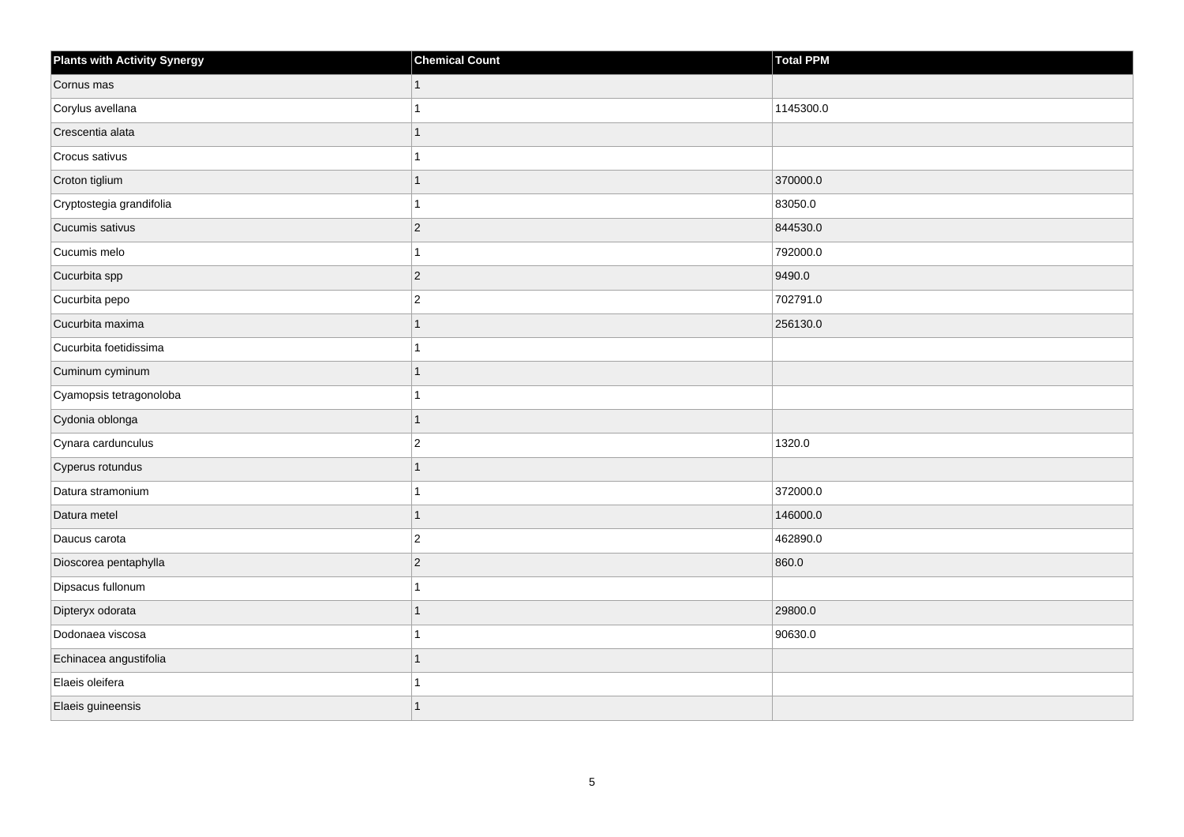| <b>Plants with Activity Synergy</b> | <b>Chemical Count</b> | Total PPM |
|-------------------------------------|-----------------------|-----------|
| Cornus mas                          | $\mathbf{1}$          |           |
| Corylus avellana                    |                       | 1145300.0 |
| Crescentia alata                    | 1                     |           |
| Crocus sativus                      |                       |           |
| Croton tiglium                      | 1                     | 370000.0  |
| Cryptostegia grandifolia            | 1                     | 83050.0   |
| Cucumis sativus                     | $ 2\rangle$           | 844530.0  |
| Cucumis melo                        |                       | 792000.0  |
| Cucurbita spp                       | $ 2\rangle$           | 9490.0    |
| Cucurbita pepo                      | $\vert$ 2             | 702791.0  |
| Cucurbita maxima                    | 1                     | 256130.0  |
| Cucurbita foetidissima              | 1                     |           |
| Cuminum cyminum                     | 1                     |           |
| Cyamopsis tetragonoloba             |                       |           |
| Cydonia oblonga                     | $\overline{1}$        |           |
| Cynara cardunculus                  | $\vert$ 2             | 1320.0    |
| Cyperus rotundus                    |                       |           |
| Datura stramonium                   | 1                     | 372000.0  |
| Datura metel                        | $\mathbf{1}$          | 146000.0  |
| Daucus carota                       | $\overline{c}$        | 462890.0  |
| Dioscorea pentaphylla               | $ 2\rangle$           | 860.0     |
| Dipsacus fullonum                   |                       |           |
| Dipteryx odorata                    |                       | 29800.0   |
| Dodonaea viscosa                    |                       | 90630.0   |
| Echinacea angustifolia              | 1                     |           |
| Elaeis oleifera                     |                       |           |
| Elaeis guineensis                   |                       |           |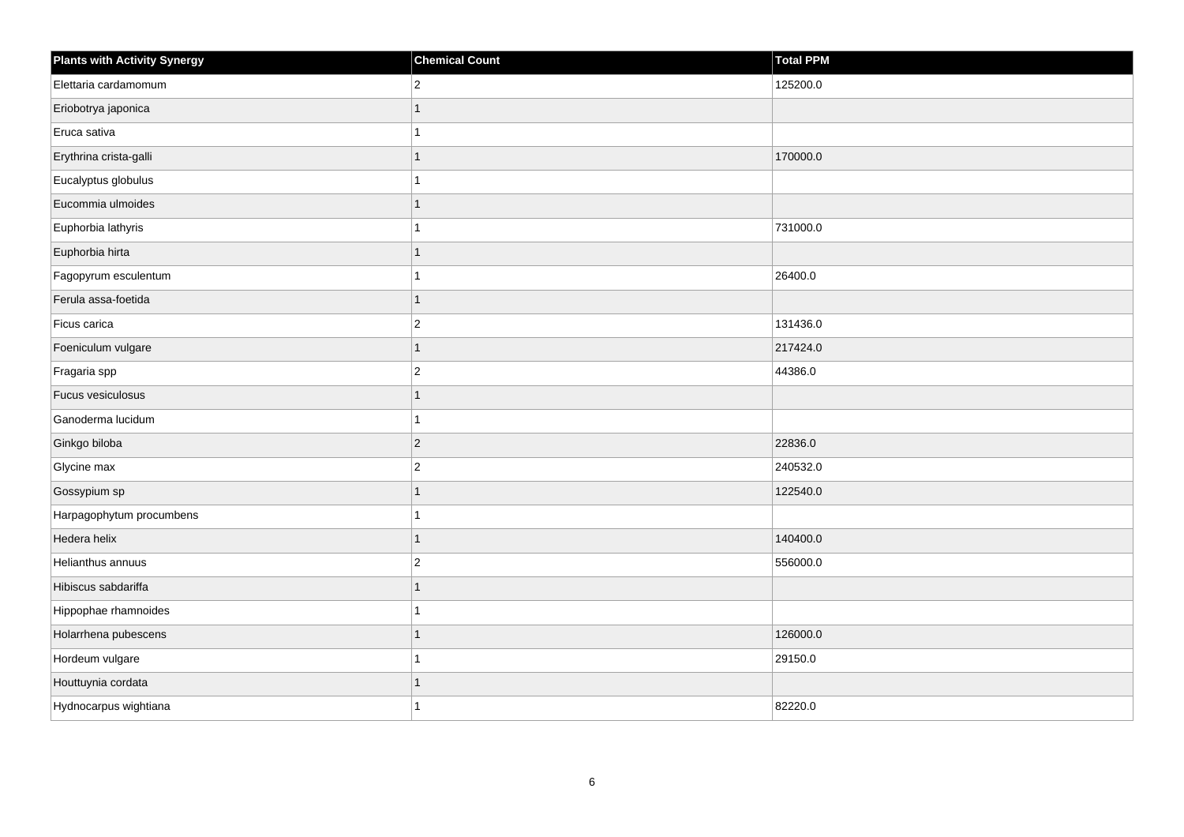| <b>Plants with Activity Synergy</b> | <b>Chemical Count</b> | Total PPM |
|-------------------------------------|-----------------------|-----------|
| Elettaria cardamomum                | $\overline{2}$        | 125200.0  |
| Eriobotrya japonica                 |                       |           |
| Eruca sativa                        |                       |           |
| Erythrina crista-galli              |                       | 170000.0  |
| Eucalyptus globulus                 |                       |           |
| Eucommia ulmoides                   |                       |           |
| Euphorbia lathyris                  |                       | 731000.0  |
| Euphorbia hirta                     |                       |           |
| Fagopyrum esculentum                |                       | 26400.0   |
| Ferula assa-foetida                 | 1                     |           |
| Ficus carica                        | $\overline{2}$        | 131436.0  |
| Foeniculum vulgare                  | 1                     | 217424.0  |
| Fragaria spp                        | $\overline{a}$        | 44386.0   |
| Fucus vesiculosus                   |                       |           |
| Ganoderma lucidum                   |                       |           |
| Ginkgo biloba                       | $\overline{2}$        | 22836.0   |
| Glycine max                         | $\overline{2}$        | 240532.0  |
| Gossypium sp                        |                       | 122540.0  |
| Harpagophytum procumbens            |                       |           |
| Hedera helix                        |                       | 140400.0  |
| Helianthus annuus                   | $\overline{2}$        | 556000.0  |
| Hibiscus sabdariffa                 | 1                     |           |
| Hippophae rhamnoides                |                       |           |
| Holarrhena pubescens                |                       | 126000.0  |
| Hordeum vulgare                     |                       | 29150.0   |
| Houttuynia cordata                  |                       |           |
| Hydnocarpus wightiana               |                       | 82220.0   |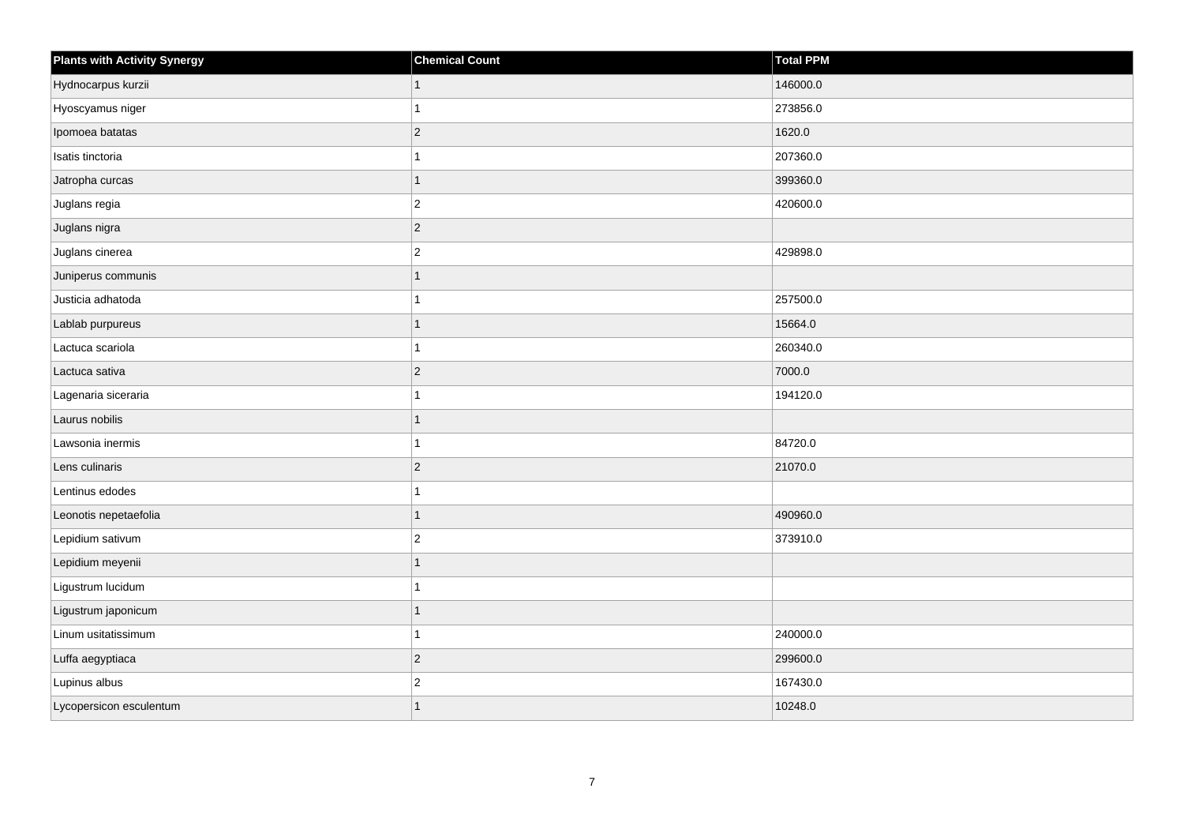| <b>Plants with Activity Synergy</b> | <b>Chemical Count</b>   | Total PPM |
|-------------------------------------|-------------------------|-----------|
| Hydnocarpus kurzii                  |                         | 146000.0  |
| Hyoscyamus niger                    |                         | 273856.0  |
| Ipomoea batatas                     | $ 2\rangle$             | 1620.0    |
| Isatis tinctoria                    |                         | 207360.0  |
| Jatropha curcas                     |                         | 399360.0  |
| Juglans regia                       | $\overline{c}$          | 420600.0  |
| Juglans nigra                       | $ 2\rangle$             |           |
| Juglans cinerea                     | $\overline{c}$          | 429898.0  |
| Juniperus communis                  |                         |           |
| Justicia adhatoda                   |                         | 257500.0  |
| Lablab purpureus                    |                         | 15664.0   |
| Lactuca scariola                    |                         | 260340.0  |
| Lactuca sativa                      | $ 2\rangle$             | 7000.0    |
| Lagenaria siceraria                 |                         | 194120.0  |
| Laurus nobilis                      |                         |           |
| Lawsonia inermis                    |                         | 84720.0   |
| Lens culinaris                      | $\overline{2}$          | 21070.0   |
| Lentinus edodes                     |                         |           |
| Leonotis nepetaefolia               |                         | 490960.0  |
| Lepidium sativum                    | $\overline{c}$          | 373910.0  |
| Lepidium meyenii                    |                         |           |
| Ligustrum lucidum                   |                         |           |
| Ligustrum japonicum                 |                         |           |
| Linum usitatissimum                 |                         | 240000.0  |
| Luffa aegyptiaca                    | $ 2\rangle$             | 299600.0  |
| Lupinus albus                       | $\overline{\mathbf{c}}$ | 167430.0  |
| Lycopersicon esculentum             |                         | 10248.0   |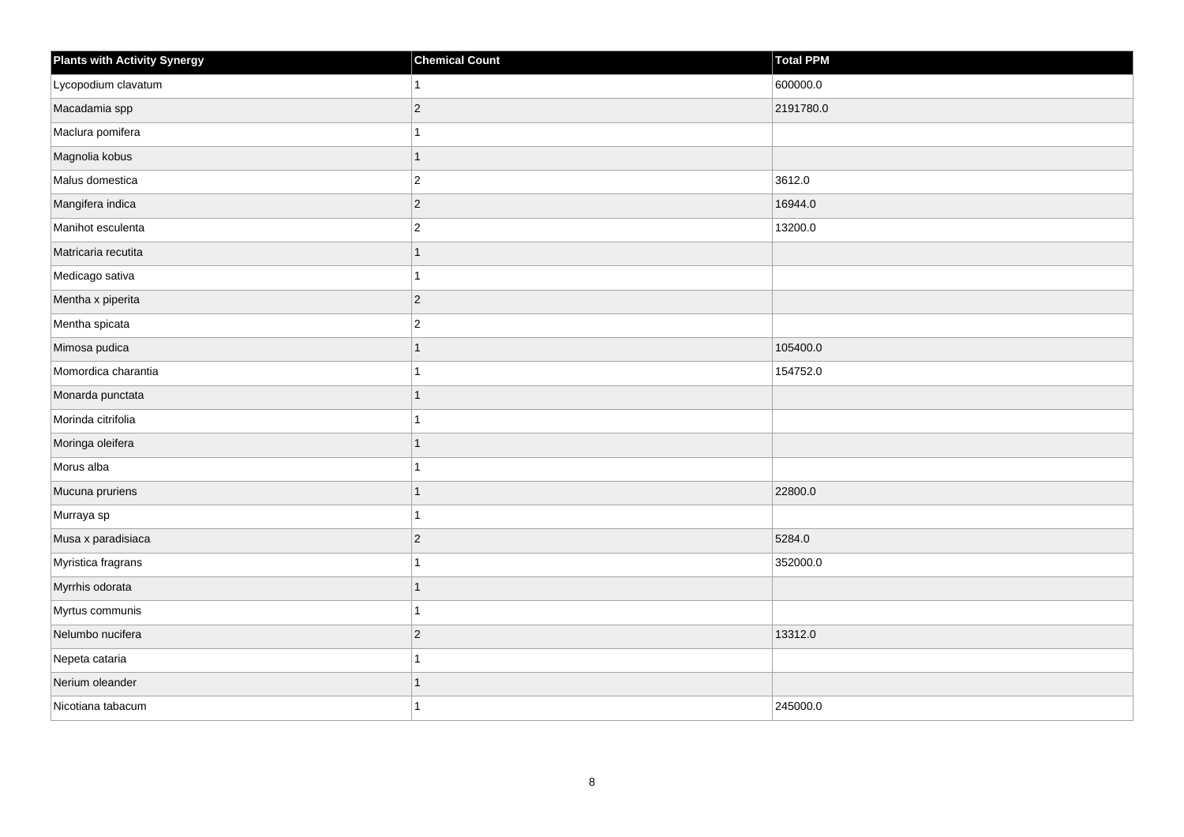| <b>Plants with Activity Synergy</b> | <b>Chemical Count</b> | Total PPM |
|-------------------------------------|-----------------------|-----------|
| Lycopodium clavatum                 |                       | 600000.0  |
| Macadamia spp                       | $\overline{2}$        | 2191780.0 |
| Maclura pomifera                    |                       |           |
| Magnolia kobus                      | 1                     |           |
| Malus domestica                     | $\overline{c}$        | 3612.0    |
| Mangifera indica                    | $\overline{c}$        | 16944.0   |
| Manihot esculenta                   | $\overline{2}$        | 13200.0   |
| Matricaria recutita                 |                       |           |
| Medicago sativa                     |                       |           |
| Mentha x piperita                   | $\overline{2}$        |           |
| Mentha spicata                      | $\overline{c}$        |           |
| Mimosa pudica                       |                       | 105400.0  |
| Momordica charantia                 |                       | 154752.0  |
| Monarda punctata                    |                       |           |
| Morinda citrifolia                  |                       |           |
| Moringa oleifera                    |                       |           |
| Morus alba                          |                       |           |
| Mucuna pruriens                     |                       | 22800.0   |
| Murraya sp                          |                       |           |
| Musa x paradisiaca                  | $\overline{2}$        | 5284.0    |
| Myristica fragrans                  |                       | 352000.0  |
| Myrrhis odorata                     | 1                     |           |
| Myrtus communis                     |                       |           |
| Nelumbo nucifera                    | $\overline{c}$        | 13312.0   |
| Nepeta cataria                      |                       |           |
| Nerium oleander                     |                       |           |
| Nicotiana tabacum                   |                       | 245000.0  |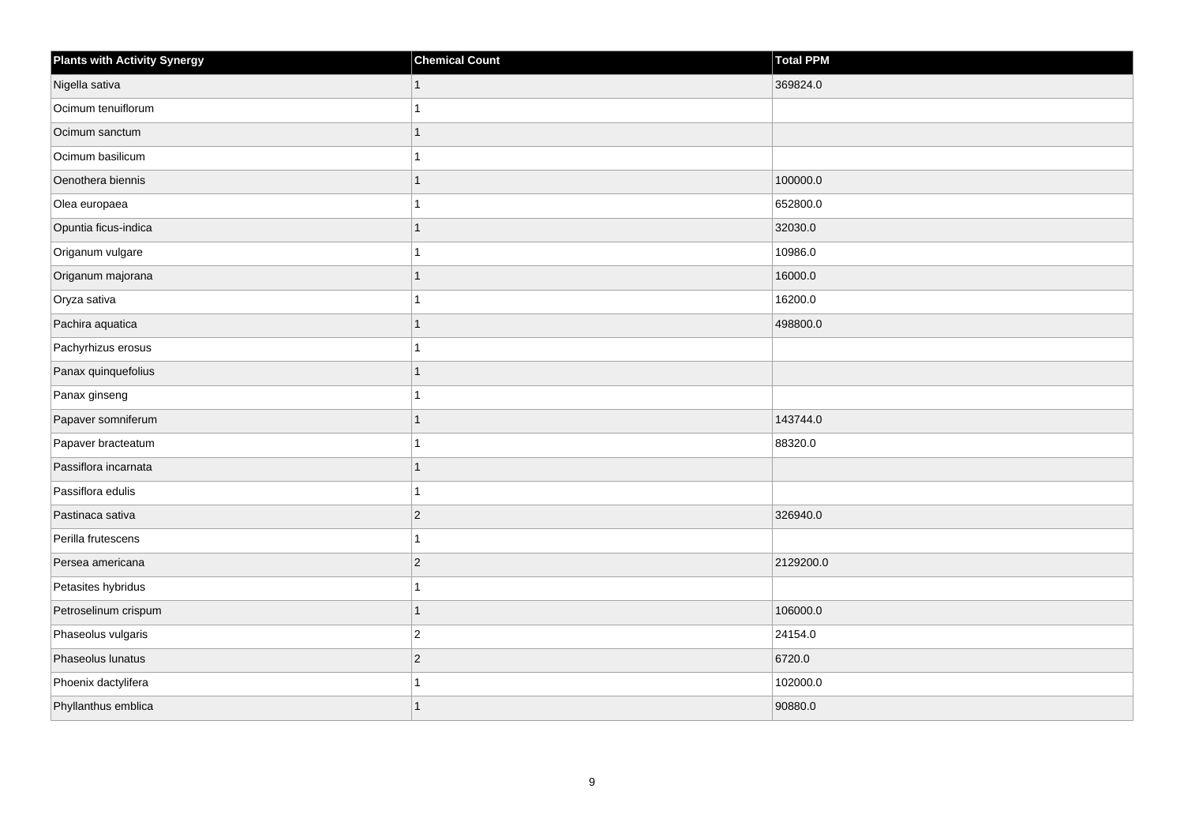| <b>Plants with Activity Synergy</b> | <b>Chemical Count</b> | Total PPM |
|-------------------------------------|-----------------------|-----------|
| Nigella sativa                      |                       | 369824.0  |
| Ocimum tenuiflorum                  |                       |           |
| Ocimum sanctum                      |                       |           |
| Ocimum basilicum                    |                       |           |
| Oenothera biennis                   |                       | 100000.0  |
| Olea europaea                       |                       | 652800.0  |
| Opuntia ficus-indica                |                       | 32030.0   |
| Origanum vulgare                    |                       | 10986.0   |
| Origanum majorana                   |                       | 16000.0   |
| Oryza sativa                        |                       | 16200.0   |
| Pachira aquatica                    |                       | 498800.0  |
| Pachyrhizus erosus                  |                       |           |
| Panax quinquefolius                 |                       |           |
| Panax ginseng                       |                       |           |
| Papaver somniferum                  |                       | 143744.0  |
| Papaver bracteatum                  |                       | 88320.0   |
| Passiflora incarnata                |                       |           |
| Passiflora edulis                   |                       |           |
| Pastinaca sativa                    | $\overline{2}$        | 326940.0  |
| Perilla frutescens                  |                       |           |
| Persea americana                    | $\overline{c}$        | 2129200.0 |
| Petasites hybridus                  |                       |           |
| Petroselinum crispum                |                       | 106000.0  |
| Phaseolus vulgaris                  | $\overline{c}$        | 24154.0   |
| Phaseolus lunatus                   | $\overline{2}$        | 6720.0    |
| Phoenix dactylifera                 |                       | 102000.0  |
| Phyllanthus emblica                 |                       | 90880.0   |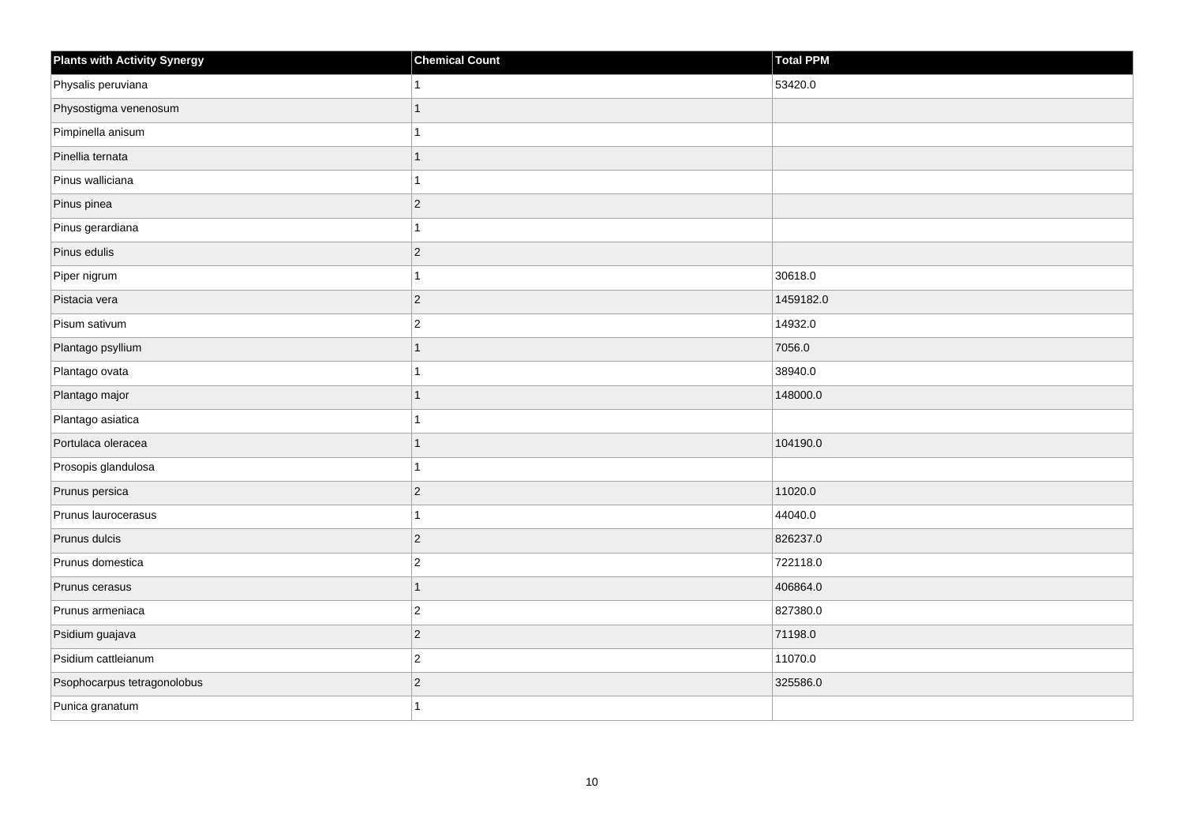| <b>Plants with Activity Synergy</b> | <b>Chemical Count</b> | Total PPM |
|-------------------------------------|-----------------------|-----------|
| Physalis peruviana                  |                       | 53420.0   |
| Physostigma venenosum               |                       |           |
| Pimpinella anisum                   |                       |           |
| Pinellia ternata                    | 1                     |           |
| Pinus walliciana                    |                       |           |
| Pinus pinea                         | $\overline{2}$        |           |
| Pinus gerardiana                    | 1                     |           |
| Pinus edulis                        | $\overline{2}$        |           |
| Piper nigrum                        |                       | 30618.0   |
| Pistacia vera                       | $\overline{2}$        | 1459182.0 |
| Pisum sativum                       | $\overline{c}$        | 14932.0   |
| Plantago psyllium                   |                       | 7056.0    |
| Plantago ovata                      |                       | 38940.0   |
| Plantago major                      |                       | 148000.0  |
| Plantago asiatica                   |                       |           |
| Portulaca oleracea                  |                       | 104190.0  |
| Prosopis glandulosa                 |                       |           |
| Prunus persica                      | $\overline{2}$        | 11020.0   |
| Prunus laurocerasus                 |                       | 44040.0   |
| Prunus dulcis                       | $\overline{2}$        | 826237.0  |
| Prunus domestica                    | $\overline{2}$        | 722118.0  |
| Prunus cerasus                      |                       | 406864.0  |
| Prunus armeniaca                    | $\overline{c}$        | 827380.0  |
| Psidium guajava                     | $\overline{2}$        | 71198.0   |
| Psidium cattleianum                 | $\overline{2}$        | 11070.0   |
| Psophocarpus tetragonolobus         | $\overline{2}$        | 325586.0  |
| Punica granatum                     |                       |           |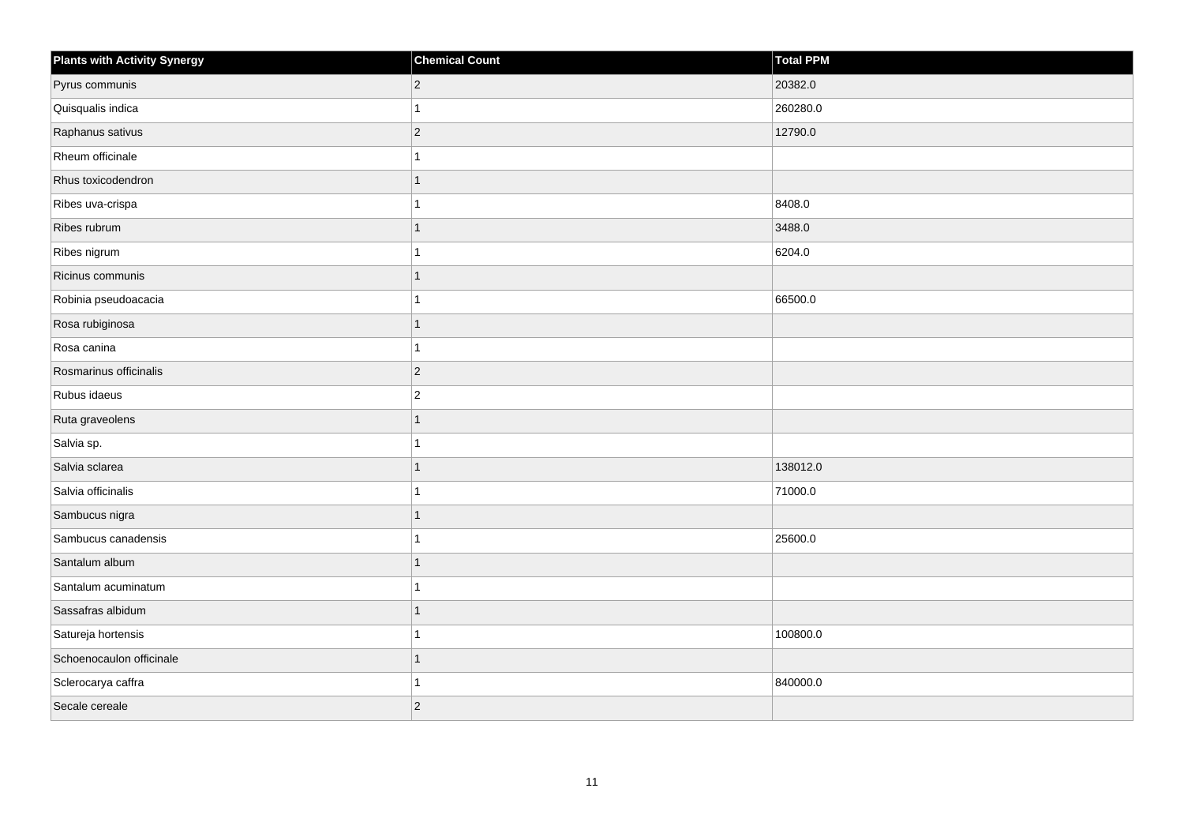| <b>Plants with Activity Synergy</b> | <b>Chemical Count</b> | Total PPM |
|-------------------------------------|-----------------------|-----------|
| Pyrus communis                      | $\vert$ 2             | 20382.0   |
| Quisqualis indica                   | 1                     | 260280.0  |
| Raphanus sativus                    | $ 2\rangle$           | 12790.0   |
| Rheum officinale                    | 1                     |           |
| Rhus toxicodendron                  | 1                     |           |
| Ribes uva-crispa                    | 1                     | 8408.0    |
| Ribes rubrum                        | 1                     | 3488.0    |
| Ribes nigrum                        | 1                     | 6204.0    |
| Ricinus communis                    | 1                     |           |
| Robinia pseudoacacia                | 1                     | 66500.0   |
| Rosa rubiginosa                     | 1                     |           |
| Rosa canina                         | 1                     |           |
| Rosmarinus officinalis              | $\vert$ 2             |           |
| Rubus idaeus                        | $\overline{2}$        |           |
| Ruta graveolens                     | 1                     |           |
| Salvia sp.                          | 1                     |           |
| Salvia sclarea                      | 1                     | 138012.0  |
| Salvia officinalis                  | 1                     | 71000.0   |
| Sambucus nigra                      | 1                     |           |
| Sambucus canadensis                 |                       | 25600.0   |
| Santalum album                      | 1                     |           |
| Santalum acuminatum                 | 1                     |           |
| Sassafras albidum                   | 1                     |           |
| Satureja hortensis                  |                       | 100800.0  |
| Schoenocaulon officinale            | 1                     |           |
| Sclerocarya caffra                  | 1                     | 840000.0  |
| Secale cereale                      | $\vert$ 2             |           |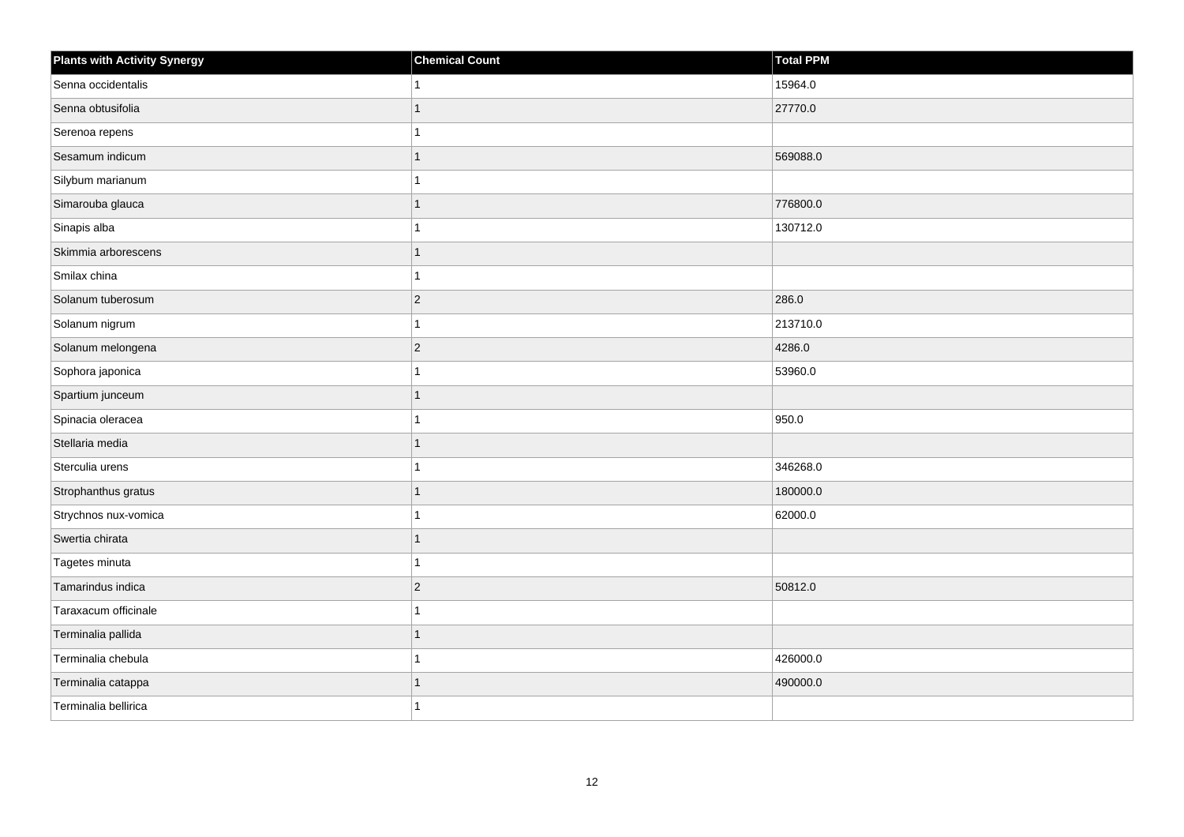| <b>Plants with Activity Synergy</b> | <b>Chemical Count</b> | Total PPM |
|-------------------------------------|-----------------------|-----------|
| Senna occidentalis                  |                       | 15964.0   |
| Senna obtusifolia                   |                       | 27770.0   |
| Serenoa repens                      |                       |           |
| Sesamum indicum                     |                       | 569088.0  |
| Silybum marianum                    |                       |           |
| Simarouba glauca                    |                       | 776800.0  |
| Sinapis alba                        |                       | 130712.0  |
| Skimmia arborescens                 |                       |           |
| Smilax china                        |                       |           |
| Solanum tuberosum                   | $\mathbf 2$           | 286.0     |
| Solanum nigrum                      |                       | 213710.0  |
| Solanum melongena                   | $\overline{2}$        | 4286.0    |
| Sophora japonica                    |                       | 53960.0   |
| Spartium junceum                    |                       |           |
| Spinacia oleracea                   |                       | 950.0     |
| Stellaria media                     |                       |           |
| Sterculia urens                     |                       | 346268.0  |
| Strophanthus gratus                 |                       | 180000.0  |
| Strychnos nux-vomica                |                       | 62000.0   |
| Swertia chirata                     |                       |           |
| Tagetes minuta                      |                       |           |
| Tamarindus indica                   | $\overline{c}$        | 50812.0   |
| Taraxacum officinale                |                       |           |
| Terminalia pallida                  |                       |           |
| Terminalia chebula                  |                       | 426000.0  |
| Terminalia catappa                  |                       | 490000.0  |
| Terminalia bellirica                |                       |           |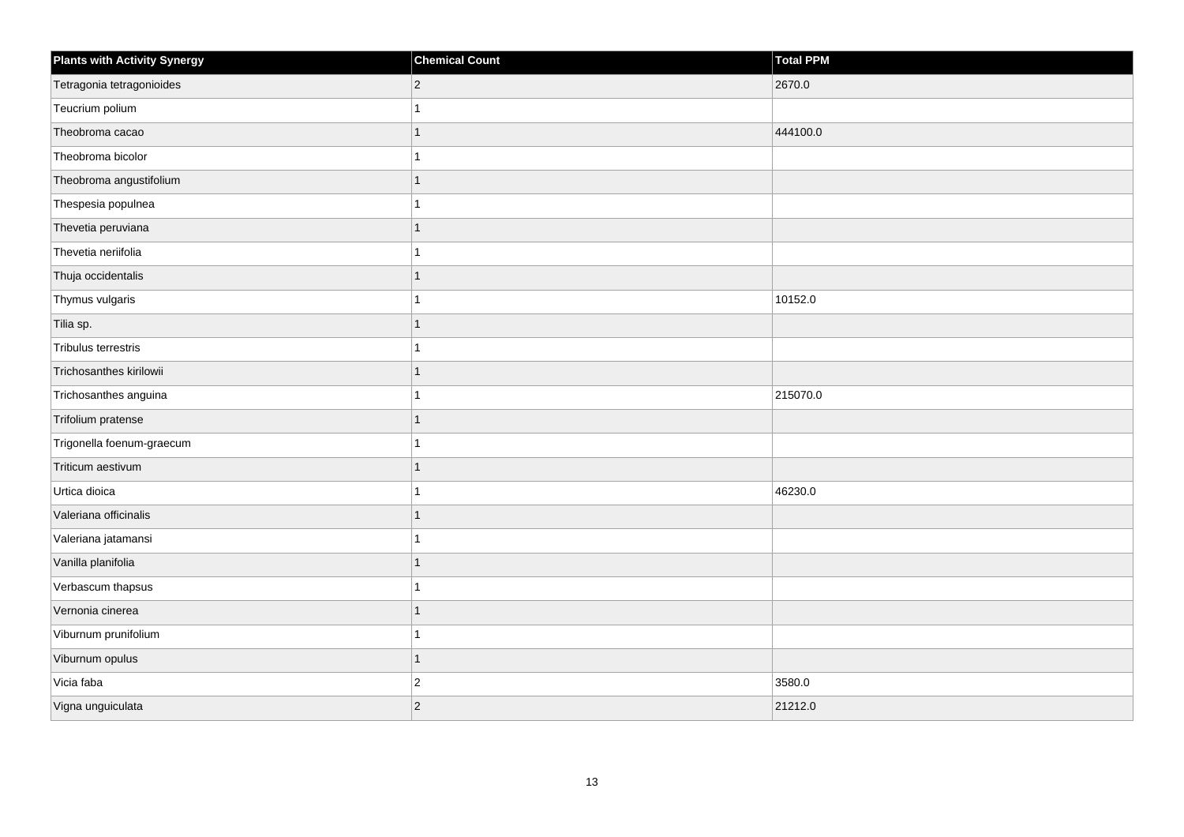| <b>Plants with Activity Synergy</b> | <b>Chemical Count</b> | Total PPM |
|-------------------------------------|-----------------------|-----------|
| Tetragonia tetragonioides           | $\overline{2}$        | 2670.0    |
| Teucrium polium                     |                       |           |
| Theobroma cacao                     |                       | 444100.0  |
| Theobroma bicolor                   |                       |           |
| Theobroma angustifolium             |                       |           |
| Thespesia populnea                  |                       |           |
| Thevetia peruviana                  |                       |           |
| Thevetia neriifolia                 |                       |           |
| Thuja occidentalis                  |                       |           |
| Thymus vulgaris                     |                       | 10152.0   |
| Tilia sp.                           |                       |           |
| Tribulus terrestris                 |                       |           |
| Trichosanthes kirilowii             | 1                     |           |
| Trichosanthes anguina               |                       | 215070.0  |
| Trifolium pratense                  |                       |           |
| Trigonella foenum-graecum           |                       |           |
| Triticum aestivum                   |                       |           |
| Urtica dioica                       |                       | 46230.0   |
| Valeriana officinalis               | 1                     |           |
| Valeriana jatamansi                 |                       |           |
| Vanilla planifolia                  |                       |           |
| Verbascum thapsus                   |                       |           |
| Vernonia cinerea                    |                       |           |
| Viburnum prunifolium                |                       |           |
| Viburnum opulus                     | 1                     |           |
| Vicia faba                          | $\overline{c}$        | 3580.0    |
| Vigna unguiculata                   | $\overline{2}$        | 21212.0   |